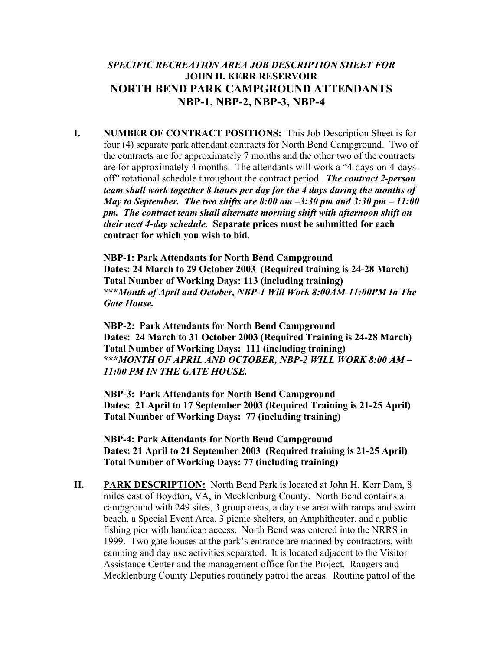## *SPECIFIC RECREATION AREA JOB DESCRIPTION SHEET FOR*  **JOHN H. KERR RESERVOIR NORTH BEND PARK CAMPGROUND ATTENDANTS NBP-1, NBP-2, NBP-3, NBP-4**

**I. NUMBER OF CONTRACT POSITIONS:** This Job Description Sheet is for four (4) separate park attendant contracts for North Bend Campground. Two of the contracts are for approximately 7 months and the other two of the contracts are for approximately 4 months. The attendants will work a "4-days-on-4-daysoff" rotational schedule throughout the contract period. *The contract 2-person team shall work together 8 hours per day for the 4 days during the months of May to September. The two shifts are 8:00 am –3:30 pm and 3:30 pm – 11:00 pm. The contract team shall alternate morning shift with afternoon shift on their next 4-day schedule*. **Separate prices must be submitted for each contract for which you wish to bid.**

**NBP-1: Park Attendants for North Bend Campground Dates: 24 March to 29 October 2003 (Required training is 24-28 March) Total Number of Working Days: 113 (including training) \*\*\****Month of April and October, NBP-1 Will Work 8:00AM-11:00PM In The Gate House.* 

**NBP-2: Park Attendants for North Bend Campground Dates: 24 March to 31 October 2003 (Required Training is 24-28 March) Total Number of Working Days: 111 (including training) \*\*\****MONTH OF APRIL AND OCTOBER, NBP-2 WILL WORK 8:00 AM – 11:00 PM IN THE GATE HOUSE.* 

**NBP-3: Park Attendants for North Bend Campground Dates: 21 April to 17 September 2003 (Required Training is 21-25 April) Total Number of Working Days: 77 (including training)** 

**NBP-4: Park Attendants for North Bend Campground Dates: 21 April to 21 September 2003 (Required training is 21-25 April) Total Number of Working Days: 77 (including training)** 

**II. PARK DESCRIPTION:** North Bend Park is located at John H. Kerr Dam, 8 miles east of Boydton, VA, in Mecklenburg County. North Bend contains a campground with 249 sites, 3 group areas, a day use area with ramps and swim beach, a Special Event Area, 3 picnic shelters, an Amphitheater, and a public fishing pier with handicap access. North Bend was entered into the NRRS in 1999. Two gate houses at the park's entrance are manned by contractors, with camping and day use activities separated. It is located adjacent to the Visitor Assistance Center and the management office for the Project. Rangers and Mecklenburg County Deputies routinely patrol the areas. Routine patrol of the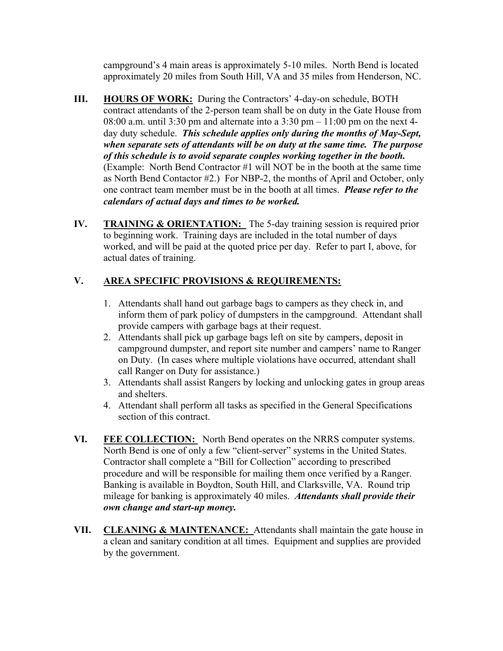campground's 4 main areas is approximately 5-10 miles. North Bend is located approximately 20 miles from South Hill, VA and 35 miles from Henderson, NC.

- **III.** HOURS OF WORK: During the Contractors' 4-day-on schedule, BOTH contract attendants of the 2-person team shall be on duty in the Gate House from 08:00 a.m. until 3:30 pm and alternate into a  $3:30$  pm  $-11:00$  pm on the next 4day duty schedule. *This schedule applies only during the months of May-Sept, when separate sets of attendants will be on duty at the same time. The purpose of this schedule is to avoid separate couples working together in the booth.*  (Example: North Bend Contractor #1 will NOT be in the booth at the same time as North Bend Contactor #2.) For NBP-2, the months of April and October, only one contract team member must be in the booth at all times. *Please refer to the calendars of actual days and times to be worked.*
- **IV. TRAINING & ORIENTATION:** The 5-day training session is required prior to beginning work. Training days are included in the total number of days worked, and will be paid at the quoted price per day. Refer to part I, above, for actual dates of training.

## **V. AREA SPECIFIC PROVISIONS & REQUIREMENTS:**

- 1. Attendants shall hand out garbage bags to campers as they check in, and inform them of park policy of dumpsters in the campground. Attendant shall provide campers with garbage bags at their request.
- 2. Attendants shall pick up garbage bags left on site by campers, deposit in campground dumpster, and report site number and campers' name to Ranger on Duty. (In cases where multiple violations have occurred, attendant shall call Ranger on Duty for assistance.)
- 3. Attendants shall assist Rangers by locking and unlocking gates in group areas and shelters.
- 4. Attendant shall perform all tasks as specified in the General Specifications section of this contract.
- **VI. FEE COLLECTION:** North Bend operates on the NRRS computer systems. North Bend is one of only a few "client-server" systems in the United States. Contractor shall complete a "Bill for Collection" according to prescribed procedure and will be responsible for mailing them once verified by a Ranger. Banking is available in Boydton, South Hill, and Clarksville, VA. Round trip mileage for banking is approximately 40 miles. *Attendants shall provide their own change and start-up money.*
- **VII. CLEANING & MAINTENANCE:** Attendants shall maintain the gate house in a clean and sanitary condition at all times. Equipment and supplies are provided by the government.